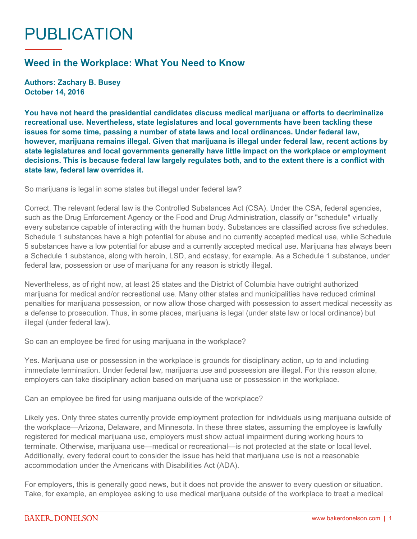## PUBLICATION

## **Weed in the Workplace: What You Need to Know**

**Authors: Zachary B. Busey October 14, 2016**

**You have not heard the presidential candidates discuss medical marijuana or efforts to decriminalize recreational use. Nevertheless, state legislatures and local governments have been tackling these issues for some time, passing a number of state laws and local ordinances. Under federal law, however, marijuana remains illegal. Given that marijuana is illegal under federal law, recent actions by state legislatures and local governments generally have little impact on the workplace or employment decisions. This is because federal law largely regulates both, and to the extent there is a conflict with state law, federal law overrides it.**

So marijuana is legal in some states but illegal under federal law?

Correct. The relevant federal law is the Controlled Substances Act (CSA). Under the CSA, federal agencies, such as the Drug Enforcement Agency or the Food and Drug Administration, classify or "schedule" virtually every substance capable of interacting with the human body. Substances are classified across five schedules. Schedule 1 substances have a high potential for abuse and no currently accepted medical use, while Schedule 5 substances have a low potential for abuse and a currently accepted medical use. Marijuana has always been a Schedule 1 substance, along with heroin, LSD, and ecstasy, for example. As a Schedule 1 substance, under federal law, possession or use of marijuana for any reason is strictly illegal.

Nevertheless, as of right now, at least 25 states and the District of Columbia have outright authorized marijuana for medical and/or recreational use. Many other states and municipalities have reduced criminal penalties for marijuana possession, or now allow those charged with possession to assert medical necessity as a defense to prosecution. Thus, in some places, marijuana is legal (under state law or local ordinance) but illegal (under federal law).

So can an employee be fired for using marijuana in the workplace?

Yes. Marijuana use or possession in the workplace is grounds for disciplinary action, up to and including immediate termination. Under federal law, marijuana use and possession are illegal. For this reason alone, employers can take disciplinary action based on marijuana use or possession in the workplace.

Can an employee be fired for using marijuana outside of the workplace?

Likely yes. Only three states currently provide employment protection for individuals using marijuana outside of the workplace—Arizona, Delaware, and Minnesota. In these three states, assuming the employee is lawfully registered for medical marijuana use, employers must show actual impairment during working hours to terminate. Otherwise, marijuana use—medical or recreational—is not protected at the state or local level. Additionally, every federal court to consider the issue has held that marijuana use is not a reasonable accommodation under the Americans with Disabilities Act (ADA).

For employers, this is generally good news, but it does not provide the answer to every question or situation. Take, for example, an employee asking to use medical marijuana outside of the workplace to treat a medical